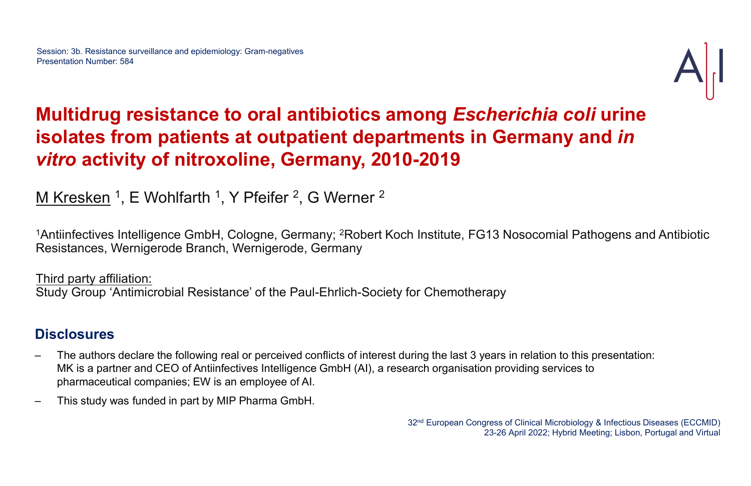### Multidrug resistance to oral antibiotics among Escherichia coli urine isolates from patients at outpatient departments in Germany and in vitro activity of nitroxoline, Germany, 2010-2019

M Kresken <sup>1</sup>, E Wohlfarth <sup>1</sup>, Y Pfeifer <sup>2</sup>, G Werner <sup>2</sup>

<sup>1</sup>Antiinfectives Intelligence GmbH, Cologne, Germany; <sup>2</sup>Robert Koch Institute, FG13 Nosocomial Pathogens and Antibiotic Resistances, Wernigerode Branch, Wernigerode, Germany

Third party affiliation: Study Group 'Antimicrobial Resistance' of the Paul-Ehrlich-Society for Chemotherapy

### **Disclosures**

- MINTERT THE AUTHORS INTERT THE AUTHORS INTERTATION INTERTATION INTERTATION INTERTATION IN THE FOLLOWITE THE FOLLOWING RESISTENCES, Wernigerode Branch, Wernigerode, Germany<br>
Third party affiliation:<br>
Study Group 'Antimicrob MK is a partner and CEO of Antiinfectives Intelligence GmbH (AI), a research organisation providing services to pharmaceutical companies; EW is an employee of AI. Frances, Wernigerode Branch, Wernigerode, Germany<br>
Third party affiliation:<br>
Study Group 'Antimicrobial Resistance' of the Paul-Ehrlich-S<br>
Disclosures<br>
— The authors declare the following real or perceived conflicts of in<br>
- 

32nd European Congress of Clinical Microbiology & Infectious Diseases (ECCMID) 23-26 April 2022; Hybrid Meeting; Lisbon, Portugal and Virtual

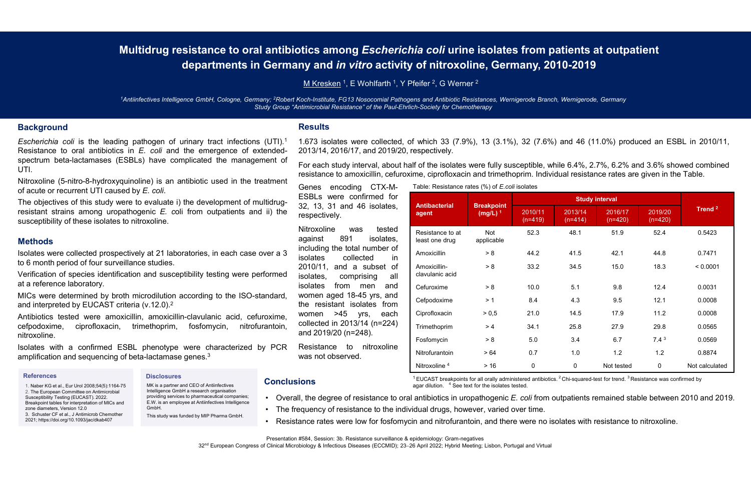# Multidrug resistance to oral antibiotics among Escherichia coli urine isolates from patients at outpatient departments in Germany and in vitro activity of nitroxoline, Germany, 2010-2019 **1.673 isolates were collected, of which 33 (7.9%), 13 (3.1%), 32 (7.6%) and 46 (11.0%) produced an ESBL in 2010/11, and 2019/2019**<br>For each misitate, F613 Mesocomial Pathogens and Antibiotic Resistances, Wemigerode Branch **outics among Escherichia coli urine isolates from patients at or any and** *in vitro* **activity of nitroxoline, Germany, 2010-2019<br>
M Kresken<sup>1</sup>, E Wohlfarth<sup>1</sup>, Y Pfeifer<sup>2</sup>, G Werner<sup>2</sup><br>
Coch-Institute, FG13 Nosocomial Pat** For each study interval, about half of the isolates from patients at outpatient<br>
Mikresken 1, E Wohlfarth 1, Y Pfeifer<sup>2</sup>, G Werner<sup>2</sup><br>
Scori-Institute, Fors about half of the isolates and Antibodic Resistances. Wemigerode **Resistance of a mond and trime isolates from patients at outpatient<br>
resistence to a more interesting of a more control in the Californian Control of a more control in the Paul-Elviton-Scoey for Chemotheapy<br>
Messiline, F6 Social States and Antiversity of Schemich Colicity Control Schemistry and** *in vitro* **activity of nitroxoline, Germany, 2010-<br>
M Kresken<sup>1</sup>, E Wohlfarth<sup>1</sup>, Y Pfeifer<sup>2</sup>, G Werner<sup>2</sup><br>
Soch-Institute, FG13 Nosocomial Pathog**

<sup>1</sup>Antiinfectives Intelligence GmbH, Cologne, Germany; <sup>2</sup>Robert Koch-Institute, FG13 Nosocomial Pathogens and Antibiotic Resistances, Wernigerode Branch, Wernigerode, Germany Study Group "Antimicrobial Resistance" of the Paul-Ehrlich-Society for Chemotherapy

#### **Background**

**Escherichia coli is the leading pathogen of urinary tract infections (UTI).**<br>
Making the leading pathogen of urinary tract infections (UTI).<sup>1</sup> and the leading pathogen of urinary tract infections (UTI).<sup>1</sup> and the leadin **Multidrug resistance to oral antibiotics among Escherichia coli undepartments in Germany and** *in vitro* **activity of nitro<br>
MEKEESKEN<sup>1</sup>, E Wohlfatth<sup>1</sup>, Y Pfelfer<sup>2</sup>, G W<br>
<sup>1</sup>Antimfectives intelligence GmbH, Cologne, Germ Spectrum beta-lactamases (ESBLs) have complicated the management of Foreach study interval and foreach spectrum beta-lactamases (ESBLs) have complicated the management of Foreach study interval about the management or the** UTI. **Multidrug resistance to oral antibiotics among Escherichia coli undepartments in Germany and in vitro activity of nitro:<br>
Microsoftenties (Separtments in Germany 2008 Microsoftenties (Separate 1, E Wohlfarth 1, Y Pielier<sup>**</sup> **Multidrug resistance to oral antibiotics among Escherichia coli u<br>
departments in Germany and in vitro activity of nitro<br>
Microsomial Pathogens and Antibiotics<br>
<sup>2</sup>Antinfectives inteligence Gmbt1. Cologne. Germany, <sup>2</sup>Rob** resistant strains among the methods of the methods of the methods of the methods and *initeral* contents in Certain (Schope, Germany, "Robert Keskistants", 1, EV Nothfarth 1, Y Pfeifer?, G Wemer <sup>5</sup><br>
Strains and *Keskistan* **Subset of the subset of the subset of the subset of the subset of the subset of the subset of the subset of the subset of the subset of the leading pathogen of urinary tract infections (UTI).<sup>1</sup> 1.673 isolates to oral an** Vantinectives Intelligence GmbH. Cologne, Germany <sup>2</sup>Robert Kord-maturibal RG13 Nosocomial Pathogens and Antibiotic Resistance<br>
Escherichia coli is the leading pathogen of urinary tract infections (UTI).<sup>1</sup> 1.673 isolates Survey Group "Antimicrobial Resist<br>
Escherichia coli is the leading pathogen of urinary tract infections (UTI).<sup>1</sup> 1.673 isolates<br>
Resistance to oral antibiotics in *E. coli* and the emergence of extended-2013/14, 2016,<br>
S Background<br>
Escherichia coli is the leading pathogen of urinary tract infections (UTI).<sup>1</sup> 1.673 isolates were collected, of which 33<br>
Resistance to oral antibiotics in *E. coli* and the emergence of extended-<br>
2013/14, 2 **Background**<br> *Escherichia coli* is the leading pathogen of urinary tract infections (I<br>
Resistance to oral antibiotics in *E. coli* and the emergence of exter-<br>
spectrum beta-lactamases (ESBLs) have complicated the manag Resistance to oral antibiotics in *E. coli* and the emergence of extended-<br>
2013/14, 2013<br>
UTI.<br>
UTI.<br>
UTI.<br>
UTI.<br>
UTI.<br>
UTI.<br>
UTI.<br>
UTI.<br>
UTI.<br>
UTI.<br>
UTI.<br>
UTI.<br>
Coli Surver to exact the management of For each study<br>
INIt

1. Naber KG et al., Eur Urol 2008;54(5):1164-75 2. The European Committee on Antimicrobial Susceptibility Testing (EUCAST). 2022. Breakpoint tables for interpretation of MICs and zone diameters, Version 12.0 3. Schuster CF et al., J Antimicrob Chemother 2021; https://doi.org/10.1093/jac/dkab407

#### **Disclosures**

MK is a partner and CEO of Antiinfectives Intelligence GmbH a research organisation E.W. is an employee at Antiinfectives Intelligence GmbH.

#### **Results**

#### Methods

nitroxoline.

#### **References**

Studies.<br>
Studies.<br>
Studies.<br>
Studies.<br>
Studies.<br>
Studies are performed isolates from men and<br>
dialution according to the ISO-standard, women aged 18-45 yrs, and<br>
reform and isolates from men and<br>
studies. from men and<br>
st Escherichia coli is the leading pathogen of urinary tract infections (UTI).<sup>1</sup> 1.673 isolates were collected, of which<br>
Resistance to oral antibiotics in E. coli and the menagene of extended-<br>
UPI.<br>
UPI.<br>
UPI.<br>
UPI.<br>
UPI. spectrum beta-lactamases (ESBLs) have complicated the management of<br>
Nitroxoline (5-nitro-8-hydroxyquinoline) is an antibiotic used in the treatment<br>
Of acute or recurrent UTI caused by E. coli.<br>
The objectives of this stu UTI.<br>
Nitroxoline (5-nitro-8-hydroxyquinoline) is an antibiotic used in the treatment of multidrug-<br>
The objectives of this study were to evaluate i) the development of multidrug-<br>
The objectives of this study were to eva of acute or recurrent UTI caused by E. coll.<br>
The objectives of this study were to velube it in the development of multidrug-<br>
The state confirmed for<br>
resistant strains among uropathogenic E. coli from outpatients and ii) The objectives of this study were to evaluate i) the development of multidrug-<br>
and signals susceptibility of these isolates to nitroxoline.<br> **Methods**<br>
susceptibility of these isolates to nitroxoline.<br> **Methods**<br>
suscept

|                                                               |  | M Kresken <sup>1</sup> , E Wohlfarth <sup>1</sup> , Y Pfeifer <sup>2</sup> , G Werner <sup>2</sup>                                                                                                                                                        |                                                                                                                                                                                                                             |                                 |                                                                   |                |            |                    |                |  |  |  |
|---------------------------------------------------------------|--|-----------------------------------------------------------------------------------------------------------------------------------------------------------------------------------------------------------------------------------------------------------|-----------------------------------------------------------------------------------------------------------------------------------------------------------------------------------------------------------------------------|---------------------------------|-------------------------------------------------------------------|----------------|------------|--------------------|----------------|--|--|--|
|                                                               |  | GmbH, Cologne, Germany; <sup>2</sup> Robert Koch-Institute, FG13 Nosocomial Pathogens and Antibiotic Resistances, Wernigerode Branch, Wernigerode, Germany<br>Study Group "Antimicrobial Resistance" of the Paul-Ehrlich-Society for Chemotherapy         |                                                                                                                                                                                                                             |                                 |                                                                   |                |            |                    |                |  |  |  |
|                                                               |  | <b>Results</b>                                                                                                                                                                                                                                            |                                                                                                                                                                                                                             |                                 |                                                                   |                |            |                    |                |  |  |  |
| $\gamma$ tract infections (UTI).1<br>emergence of extended-   |  | 1.673 isolates were collected, of which 33 (7.9%), 13 (3.1%), 32 (7.6%) and 46 (11.0%) produced an ESBL in 2010/11,<br>2013/14, 2016/17, and 2019/20, respectively.                                                                                       |                                                                                                                                                                                                                             |                                 |                                                                   |                |            |                    |                |  |  |  |
| ated the management of<br>otic used in the treatment          |  | For each study interval, about half of the isolates were fully susceptible, while 6.4%, 2.7%, 6.2% and 3.6% showed combined<br>resistance to amoxicillin, cefuroxime, ciprofloxacin and trimethoprim. Individual resistance rates are given in the Table. |                                                                                                                                                                                                                             |                                 |                                                                   |                |            |                    |                |  |  |  |
|                                                               |  | encoding CTX-M-<br>Genes                                                                                                                                                                                                                                  | Table: Resistance rates (%) of <i>E.coli</i> isolates                                                                                                                                                                       |                                 |                                                                   |                |            |                    |                |  |  |  |
| development of multidrug-<br>n outpatients and ii) the        |  | ESBLs were confirmed for<br>32, 13, 31 and 46 isolates,                                                                                                                                                                                                   | <b>Antibacterial</b><br>agent                                                                                                                                                                                               | <b>Breakpoint</b><br>$(mg/L)^1$ | <b>Study interval</b><br>2019/20<br>2010/11<br>2013/14<br>2016/17 |                |            | Trend <sup>2</sup> |                |  |  |  |
|                                                               |  | respectively.                                                                                                                                                                                                                                             |                                                                                                                                                                                                                             |                                 | $(n=419)$                                                         | $(n=414)$      | $(n=420)$  | $(n=420)$          |                |  |  |  |
|                                                               |  | Nitroxoline<br>tested<br>was<br>891<br>against<br>isolates,                                                                                                                                                                                               | Resistance to at<br>least one drug                                                                                                                                                                                          | Not<br>applicable               | 52.3                                                              | 48.1           | 51.9       | 52.4               | 0.5423         |  |  |  |
| ies, in each case over a 3                                    |  | including the total number of<br>collected<br><i>isolates</i><br>in.                                                                                                                                                                                      | Amoxicillin                                                                                                                                                                                                                 | > 8                             | 44.2                                                              | 41.5           | 42.1       | 44.8               | 0.7471         |  |  |  |
| ty testing were performed                                     |  | 2010/11,<br>and a subset of<br>isolates,<br>comprising<br>all                                                                                                                                                                                             | Amoxicillin-<br>clavulanic acid                                                                                                                                                                                             | > 8                             | 33.2                                                              | 34.5           | 15.0       | 18.3               | < 0.0001       |  |  |  |
|                                                               |  | isolates<br>from<br>men<br>and                                                                                                                                                                                                                            | Cefuroxime                                                                                                                                                                                                                  | > 8                             | 10.0                                                              | 5.1            | 9.8        | 12.4               | 0.0031         |  |  |  |
| ding to the ISO-standard,                                     |  | women aged 18-45 yrs, and<br>the resistant isolates from                                                                                                                                                                                                  | Cefpodoxime                                                                                                                                                                                                                 | > 1                             | 8.4                                                               | 4.3            | 9.5        | 12.1               | 0.0008         |  |  |  |
| /ulanic acid, cefuroxime,<br>nitrofurantoin,<br>,fomycin،     |  | women >45 yrs,<br>each                                                                                                                                                                                                                                    | Ciprofloxacin                                                                                                                                                                                                               | > 0,5                           | 21.0                                                              | 14.5           | 17.9       | 11.2               | 0.0008         |  |  |  |
|                                                               |  | collected in 2013/14 (n=224)<br>and 2019/20 (n=248).                                                                                                                                                                                                      | Trimethoprim                                                                                                                                                                                                                | > 4                             | 34.1                                                              | 25.8           | 27.9       | 29.8               | 0.0565         |  |  |  |
| characterized by PCR                                          |  | nitroxoline<br>Resistance to                                                                                                                                                                                                                              | Fosfomycin                                                                                                                                                                                                                  | > 8                             | 5.0                                                               | 3.4            | 6.7        | 7.4 <sup>3</sup>   | 0.0569         |  |  |  |
| ∋s. <sup>3</sup>                                              |  | was not observed.                                                                                                                                                                                                                                         | Nitrofurantoin                                                                                                                                                                                                              | >64                             | 0.7                                                               | 1.0            | 1.2        | 1.2                | 0.8874         |  |  |  |
|                                                               |  |                                                                                                                                                                                                                                                           | Nitroxoline <sup>4</sup>                                                                                                                                                                                                    | $>16$                           | $\mathbf 0$                                                       | $\overline{0}$ | Not tested | $\overline{0}$     | Not calculated |  |  |  |
| <b>Conclusions</b><br>of Antiinfectives<br>earch organisation |  |                                                                                                                                                                                                                                                           | <sup>1</sup> EUCAST breakpoints for all orally administered antibiotics. <sup>2</sup> Chi-squared-test for trend. <sup>3</sup> Resistance was confirmed by<br>agar dilution. <sup>4</sup> See text for the isolates tested. |                                 |                                                                   |                |            |                    |                |  |  |  |
| rmaceutical companies                                         |  | • Overall, the degree of resistance to oral antibiotics in uropathogenic E. coli from outpatients remained stable between 2010 and 2019.<br>• The frequency of resistance to the individual drugs, however, varied over time.                             |                                                                                                                                                                                                                             |                                 |                                                                   |                |            |                    |                |  |  |  |
| ntiinfectives Intelligence                                    |  |                                                                                                                                                                                                                                                           | • Resistance rates were low for fosfomycin and nitrofurantoin, and there were no isolates with resistance to nitroxoline.                                                                                                   |                                 |                                                                   |                |            |                    |                |  |  |  |

### **Conclusions**

- providing services to pharmaceutical companies;  $\bullet$  Overall, the degree of resistance to oral antibiotics in uropathogenic E. coli from outpatients remained stable between 2010 and 2019.
	-
	-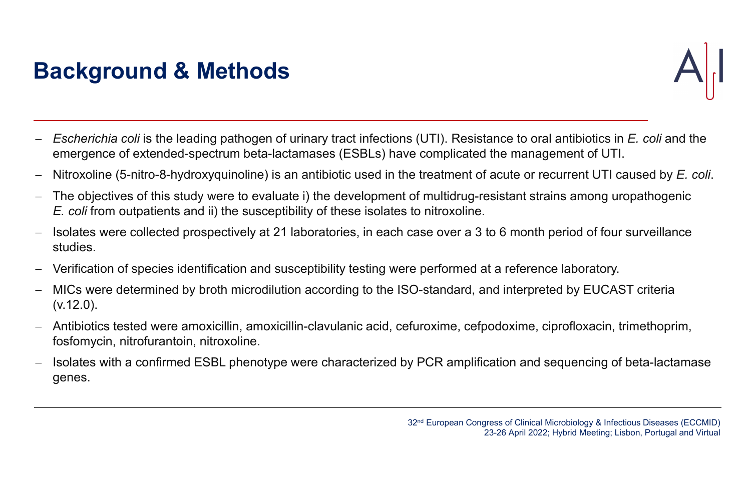- $-$  Escherichia coli is the leading pathogen of urinary tract infections (UTI). Resistance to oral antibiotics in E. coli and the emergence of extended-spectrum beta-lactamases (ESBLs) have complicated the management of UTI.
- $-$  Nitroxoline (5-nitro-8-hydroxyquinoline) is an antibiotic used in the treatment of acute or recurrent UTI caused by E. coli.
- The objectives of this study were to evaluate i) the development of multidrug-resistant strains among uropathogenic E. coli from outpatients and ii) the susceptibility of these isolates to nitroxoline.
- Isolates were collected prospectively at 21 laboratories, in each case over a 3 to 6 month period of four surveillance studies.
- Verification of species identification and susceptibility testing were performed at a reference laboratory.
- MICs were determined by broth microdilution according to the ISO-standard, and interpreted by EUCAST criteria (v.12.0).
- Antibiotics tested were amoxicillin, amoxicillin-clavulanic acid, cefuroxime, cefpodoxime, ciprofloxacin, trimethoprim, fosfomycin, nitrofurantoin, nitroxoline.
- Isolates with a confirmed ESBL phenotype were characterized by PCR amplification and sequencing of beta-lactamase genes.



## Background & Methods

32nd European Congress of Clinical Microbiology & Infectious Diseases (ECCMID) 23-26 April 2022; Hybrid Meeting; Lisbon, Portugal and Virtual